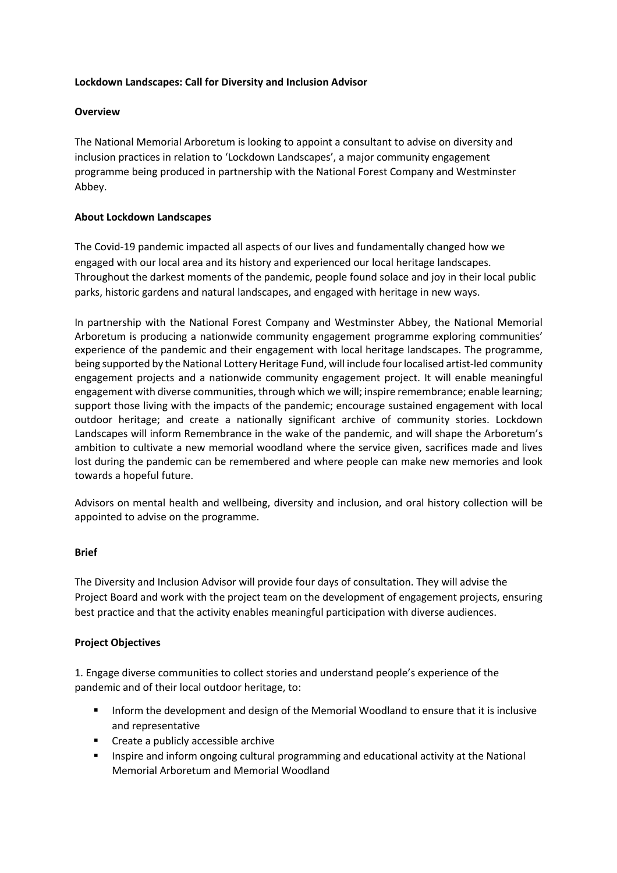## **Lockdown Landscapes: Call for Diversity and Inclusion Advisor**

# **Overview**

The National Memorial Arboretum is looking to appoint a consultant to advise on diversity and inclusion practices in relation to 'Lockdown Landscapes', a major community engagement programme being produced in partnership with the National Forest Company and Westminster Abbey.

## **About Lockdown Landscapes**

The Covid-19 pandemic impacted all aspects of our lives and fundamentally changed how we engaged with our local area and its history and experienced our local heritage landscapes. Throughout the darkest moments of the pandemic, people found solace and joy in their local public parks, historic gardens and natural landscapes, and engaged with heritage in new ways.

In partnership with the National Forest Company and Westminster Abbey, the National Memorial Arboretum is producing a nationwide community engagement programme exploring communities' experience of the pandemic and their engagement with local heritage landscapes. The programme, being supported by the National Lottery Heritage Fund, will include four localised artist-led community engagement projects and a nationwide community engagement project. It will enable meaningful engagement with diverse communities, through which we will; inspire remembrance; enable learning; support those living with the impacts of the pandemic; encourage sustained engagement with local outdoor heritage; and create a nationally significant archive of community stories. Lockdown Landscapes will inform Remembrance in the wake of the pandemic, and will shape the Arboretum's ambition to cultivate a new memorial woodland where the service given, sacrifices made and lives lost during the pandemic can be remembered and where people can make new memories and look towards a hopeful future.

Advisors on mental health and wellbeing, diversity and inclusion, and oral history collection will be appointed to advise on the programme.

## **Brief**

The Diversity and Inclusion Advisor will provide four days of consultation. They will advise the Project Board and work with the project team on the development of engagement projects, ensuring best practice and that the activity enables meaningful participation with diverse audiences.

## **Project Objectives**

1. Engage diverse communities to collect stories and understand people's experience of the pandemic and of their local outdoor heritage, to:

- Inform the development and design of the Memorial Woodland to ensure that it is inclusive and representative
- Create a publicly accessible archive
- Inspire and inform ongoing cultural programming and educational activity at the National Memorial Arboretum and Memorial Woodland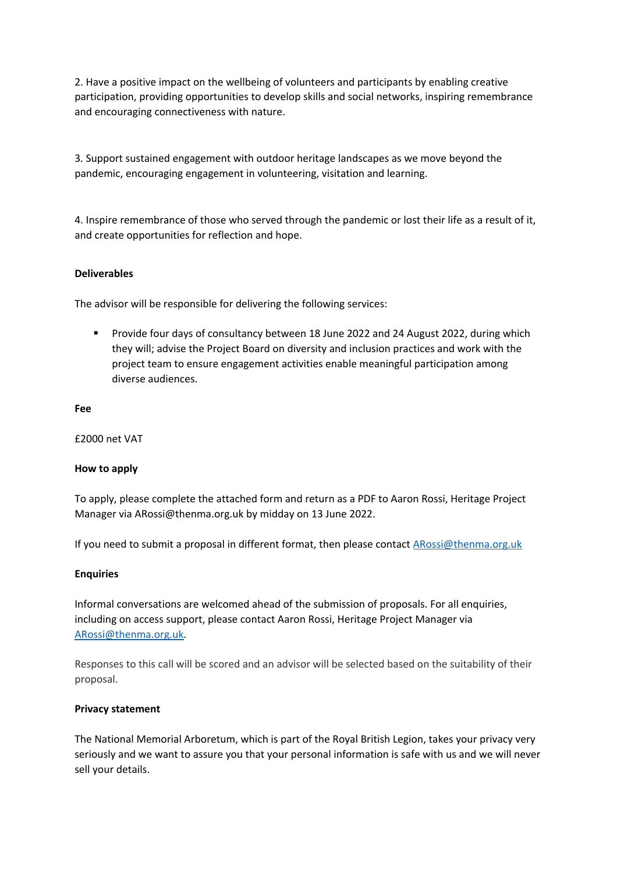2. Have a positive impact on the wellbeing of volunteers and participants by enabling creative participation, providing opportunities to develop skills and social networks, inspiring remembrance and encouraging connectiveness with nature.

3. Support sustained engagement with outdoor heritage landscapes as we move beyond the pandemic, encouraging engagement in volunteering, visitation and learning.

4. Inspire remembrance of those who served through the pandemic or lost their life as a result of it, and create opportunities for reflection and hope.

#### **Deliverables**

The advisor will be responsible for delivering the following services:

■ Provide four days of consultancy between 18 June 2022 and 24 August 2022, during which they will; advise the Project Board on diversity and inclusion practices and work with the project team to ensure engagement activities enable meaningful participation among diverse audiences.

#### **Fee**

£2000 net VAT

## **How to apply**

To apply, please complete the attached form and return as a PDF to Aaron Rossi, Heritage Project Manager via ARossi@thenma.org.uk by midday on 13 June 2022.

If you need to submit a proposal in different format, then please contact ARossi@thenma.org.uk

#### **Enquiries**

Informal conversations are welcomed ahead of the submission of proposals. For all enquiries, including on access support, please contact Aaron Rossi, Heritage Project Manager via ARossi@thenma.org.uk.

Responses to this call will be scored and an advisor will be selected based on the suitability of their proposal.

#### **Privacy statement**

The National Memorial Arboretum, which is part of the Royal British Legion, takes your privacy very seriously and we want to assure you that your personal information is safe with us and we will never sell your details.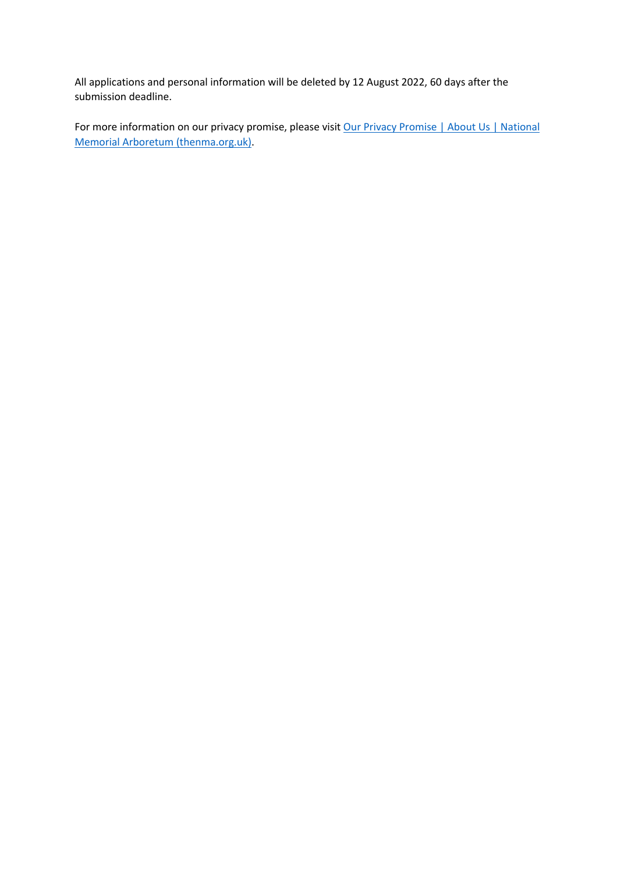All applications and personal information will be deleted by 12 August 2022, 60 days after the submission deadline.

For more information on our privacy promise, please visit Our Privacy Promise | About Us | National Memorial Arboretum (thenma.org.uk).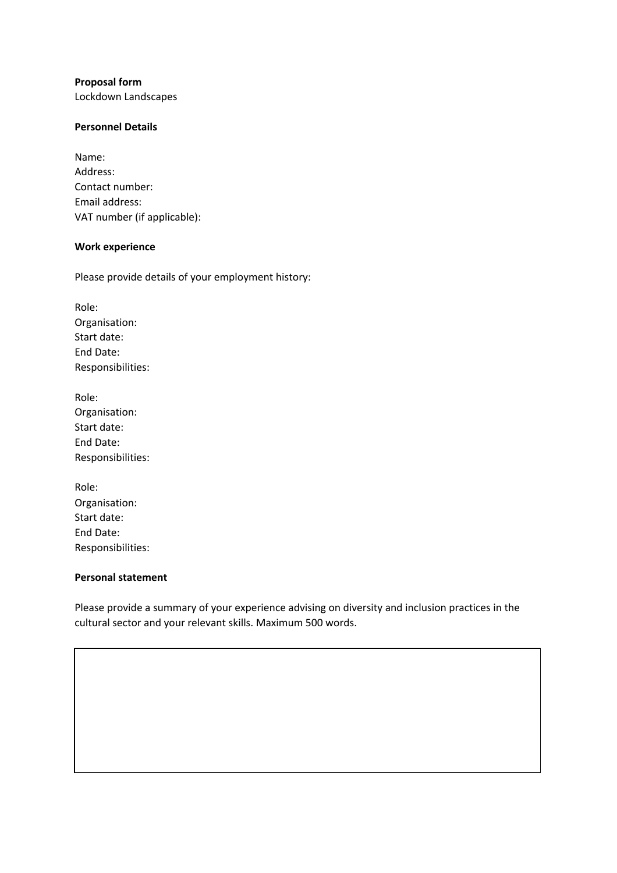# **Proposal form**

Lockdown Landscapes

# **Personnel Details**

| Name:                       |
|-----------------------------|
| Address:                    |
| Contact number:             |
| Email address:              |
| VAT number (if applicable): |

## **Work experience**

Please provide details of your employment history:

Role: Organisation: Start date: End Date: Responsibilities:

| Role:             |
|-------------------|
| Organisation:     |
| Start date:       |
| End Date:         |
| Responsibilities: |

| Role:             |
|-------------------|
| Organisation:     |
| Start date:       |
| End Date:         |
| Responsibilities: |

# **Personal statement**

Please provide a summary of your experience advising on diversity and inclusion practices in the cultural sector and your relevant skills. Maximum 500 words.